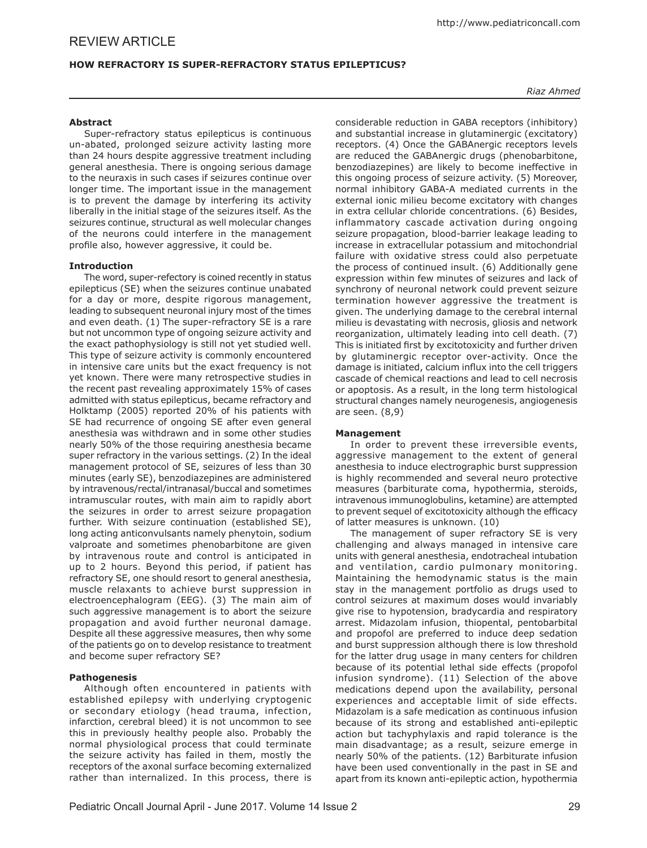# **HOW REFRACTORY IS SUPER-REFRACTORY STATUS EPILEPTICUS?**

### *Riaz Ahmed*

### **Abstract**

Super-refractory status epilepticus is continuous un-abated, prolonged seizure activity lasting more than 24 hours despite aggressive treatment including general anesthesia. There is ongoing serious damage to the neuraxis in such cases if seizures continue over longer time. The important issue in the management is to prevent the damage by interfering its activity liberally in the initial stage of the seizures itself. As the seizures continue, structural as well molecular changes of the neurons could interfere in the management profile also, however aggressive, it could be.

#### **Introduction**

The word, super-refectory is coined recently in status epilepticus (SE) when the seizures continue unabated for a day or more, despite rigorous management, leading to subsequent neuronal injury most of the times and even death. (1) The super-refractory SE is a rare but not uncommon type of ongoing seizure activity and the exact pathophysiology is still not yet studied well. This type of seizure activity is commonly encountered in intensive care units but the exact frequency is not yet known. There were many retrospective studies in the recent past revealing approximately 15% of cases admitted with status epilepticus, became refractory and Holktamp (2005) reported 20% of his patients with SE had recurrence of ongoing SE after even general anesthesia was withdrawn and in some other studies nearly 50% of the those requiring anesthesia became super refractory in the various settings. (2) In the ideal management protocol of SE, seizures of less than 30 minutes (early SE), benzodiazepines are administered by intravenous/rectal/intranasal/buccal and sometimes intramuscular routes, with main aim to rapidly abort the seizures in order to arrest seizure propagation further. With seizure continuation (established SE), long acting anticonvulsants namely phenytoin, sodium valproate and sometimes phenobarbitone are given by intravenous route and control is anticipated in up to 2 hours. Beyond this period, if patient has refractory SE, one should resort to general anesthesia, muscle relaxants to achieve burst suppression in electroencephalogram (EEG). (3) The main aim of such aggressive management is to abort the seizure propagation and avoid further neuronal damage. Despite all these aggressive measures, then why some of the patients go on to develop resistance to treatment and become super refractory SE?

## **Pathogenesis**

Although often encountered in patients with established epilepsy with underlying cryptogenic or secondary etiology (head trauma, infection, infarction, cerebral bleed) it is not uncommon to see this in previously healthy people also. Probably the normal physiological process that could terminate the seizure activity has failed in them, mostly the receptors of the axonal surface becoming externalized rather than internalized. In this process, there is

considerable reduction in GABA receptors (inhibitory) and substantial increase in glutaminergic (excitatory) receptors. (4) Once the GABAnergic receptors levels are reduced the GABAnergic drugs (phenobarbitone, benzodiazepines) are likely to become ineffective in this ongoing process of seizure activity. (5) Moreover, normal inhibitory GABA-A mediated currents in the external ionic milieu become excitatory with changes in extra cellular chloride concentrations. (6) Besides, inflammatory cascade activation during ongoing seizure propagation, blood-barrier leakage leading to increase in extracellular potassium and mitochondrial failure with oxidative stress could also perpetuate the process of continued insult. (6) Additionally gene expression within few minutes of seizures and lack of synchrony of neuronal network could prevent seizure termination however aggressive the treatment is given. The underlying damage to the cerebral internal milieu is devastating with necrosis, gliosis and network reorganization, ultimately leading into cell death. (7) This is initiated first by excitotoxicity and further driven by glutaminergic receptor over-activity. Once the damage is initiated, calcium influx into the cell triggers cascade of chemical reactions and lead to cell necrosis or apoptosis. As a result, in the long term histological structural changes namely neurogenesis, angiogenesis are seen. (8,9)

#### **Management**

In order to prevent these irreversible events, aggressive management to the extent of general anesthesia to induce electrographic burst suppression is highly recommended and several neuro protective measures (barbiturate coma, hypothermia, steroids, intravenous immunoglobulins, ketamine) are attempted to prevent sequel of excitotoxicity although the efficacy of latter measures is unknown. (10)

The management of super refractory SE is very challenging and always managed in intensive care units with general anesthesia, endotracheal intubation and ventilation, cardio pulmonary monitoring. Maintaining the hemodynamic status is the main stay in the management portfolio as drugs used to control seizures at maximum doses would invariably give rise to hypotension, bradycardia and respiratory arrest. Midazolam infusion, thiopental, pentobarbital and propofol are preferred to induce deep sedation and burst suppression although there is low threshold for the latter drug usage in many centers for children because of its potential lethal side effects (propofol infusion syndrome). (11) Selection of the above medications depend upon the availability, personal experiences and acceptable limit of side effects. Midazolam is a safe medication as continuous infusion because of its strong and established anti-epileptic action but tachyphylaxis and rapid tolerance is the main disadvantage; as a result, seizure emerge in nearly 50% of the patients. (12) Barbiturate infusion have been used conventionally in the past in SE and apart from its known anti-epileptic action, hypothermia